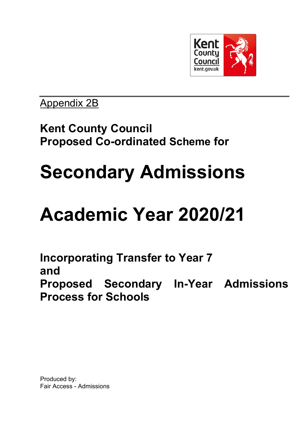

# Appendix 2B

# **Kent County Council Proposed Co-ordinated Scheme for**

# **Secondary Admissions**

# **Academic Year 2020/21**

**Incorporating Transfer to Year 7 and Proposed Secondary In-Year Admissions Process for Schools**

Produced by: Fair Access - Admissions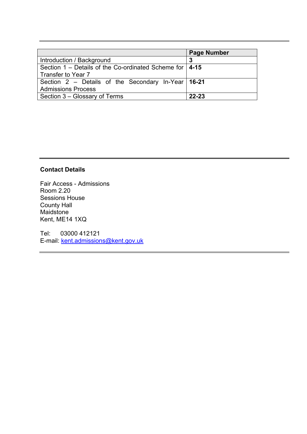|                                                             | <b>Page Number</b> |
|-------------------------------------------------------------|--------------------|
| Introduction / Background                                   | -3                 |
| Section 1 – Details of the Co-ordinated Scheme for $ $ 4-15 |                    |
| Transfer to Year 7                                          |                    |
| Section 2 – Details of the Secondary In-Year $16-21$        |                    |
| <b>Admissions Process</b>                                   |                    |
| Section 3 – Glossary of Terms                               | $22 - 23$          |

# **Contact Details**

Fair Access - Admissions Room 2.20 Sessions House County Hall Maidstone Kent, ME14 1XQ

Tel: 03000 412121 E-mail: [kent.admissions@kent.gov.uk](mailto:kent.admissions@kent.gov.uk)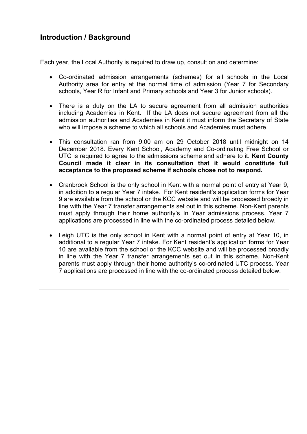Each year, the Local Authority is required to draw up, consult on and determine:

- Co-ordinated admission arrangements (schemes) for all schools in the Local Authority area for entry at the normal time of admission (Year 7 for Secondary schools, Year R for Infant and Primary schools and Year 3 for Junior schools).
- There is a duty on the LA to secure agreement from all admission authorities including Academies in Kent. If the LA does not secure agreement from all the admission authorities and Academies in Kent it must inform the Secretary of State who will impose a scheme to which all schools and Academies must adhere.
- This consultation ran from 9.00 am on 29 October 2018 until midnight on 14 December 2018. Every Kent School, Academy and Co-ordinating Free School or UTC is required to agree to the admissions scheme and adhere to it. **Kent County Council made it clear in its consultation that it would constitute full acceptance to the proposed scheme if schools chose not to respond.**
- Cranbrook School is the only school in Kent with a normal point of entry at Year 9, in addition to a regular Year 7 intake. For Kent resident's application forms for Year 9 are available from the school or the KCC website and will be processed broadly in line with the Year 7 transfer arrangements set out in this scheme. Non-Kent parents must apply through their home authority's In Year admissions process. Year 7 applications are processed in line with the co-ordinated process detailed below.
- Leigh UTC is the only school in Kent with a normal point of entry at Year 10, in additional to a regular Year 7 intake. For Kent resident's application forms for Year 10 are available from the school or the KCC website and will be processed broadly in line with the Year 7 transfer arrangements set out in this scheme. Non-Kent parents must apply through their home authority's co-ordinated UTC process. Year 7 applications are processed in line with the co-ordinated process detailed below.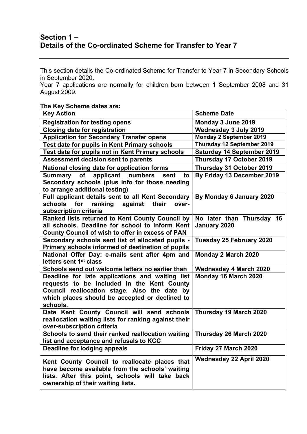# **Section 1 – Details of the Co-ordinated Scheme for Transfer to Year 7**

This section details the Co-ordinated Scheme for Transfer to Year 7 in Secondary Schools in September 2020.

Year 7 applications are normally for children born between 1 September 2008 and 31 August 2009.

### **The Key Scheme dates are:**

| <b>Key Action</b>                                                                             | <b>Scheme Date</b>                |
|-----------------------------------------------------------------------------------------------|-----------------------------------|
| <b>Registration for testing opens</b>                                                         | Monday 3 June 2019                |
| <b>Closing date for registration</b>                                                          | Wednesday 3 July 2019             |
| <b>Application for Secondary Transfer opens</b>                                               | Monday 2 September 2019           |
| Test date for pupils in Kent Primary schools                                                  | Thursday 12 September 2019        |
| Test date for pupils not in Kent Primary schools                                              | <b>Saturday 14 September 2019</b> |
| <b>Assessment decision sent to parents</b>                                                    | Thursday 17 October 2019          |
| National closing date for application forms                                                   | Thursday 31 October 2019          |
| Summary of<br>applicant numbers<br>sent<br>to                                                 | By Friday 13 December 2019        |
| Secondary schools (plus info for those needing                                                |                                   |
| to arrange additional testing)                                                                |                                   |
| Full applicant details sent to all Kent Secondary                                             | By Monday 6 January 2020          |
| schools<br>ranking<br>against<br>for<br>their<br>over-                                        |                                   |
| subscription criteria                                                                         |                                   |
| Ranked lists returned to Kent County Council by                                               | No later than Thursday<br>16      |
| all schools. Deadline for school to inform Kent                                               | January 2020                      |
| County Council of wish to offer in excess of PAN                                              |                                   |
| Secondary schools sent list of allocated pupils -                                             | Tuesday 25 February 2020          |
| Primary schools informed of destination of pupils                                             |                                   |
| National Offer Day: e-mails sent after 4pm and                                                | Monday 2 March 2020               |
| letters sent 1 <sup>st</sup> class                                                            |                                   |
| Schools send out welcome letters no earlier than                                              | <b>Wednesday 4 March 2020</b>     |
| Deadline for late applications and waiting list<br>requests to be included in the Kent County | Monday 16 March 2020              |
| Council reallocation stage. Also the date by                                                  |                                   |
| which places should be accepted or declined to                                                |                                   |
| schools.                                                                                      |                                   |
| Date Kent County Council will send schools                                                    | Thursday 19 March 2020            |
| reallocation waiting lists for ranking against their                                          |                                   |
| over-subscription criteria                                                                    |                                   |
| Schools to send their ranked reallocation waiting                                             | Thursday 26 March 2020            |
| list and acceptance and refusals to KCC                                                       |                                   |
| Deadline for lodging appeals                                                                  | Friday 27 March 2020              |
|                                                                                               |                                   |
| Kent County Council to reallocate places that                                                 | Wednesday 22 April 2020           |
| have become available from the schools' waiting                                               |                                   |
| lists. After this point, schools will take back                                               |                                   |
| ownership of their waiting lists.                                                             |                                   |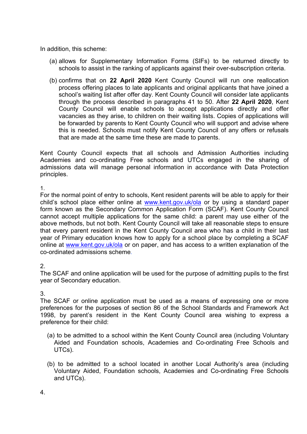In addition, this scheme:

- (a) allows for Supplementary Information Forms (SIFs) to be returned directly to schools to assist in the ranking of applicants against their over-subscription criteria.
- (b) confirms that on **22 April 2020** Kent County Council will run one reallocation process offering places to late applicants and original applicants that have joined a school's waiting list after offer day. Kent County Council will consider late applicants through the process described in paragraphs 41 to 50. After **22 April 2020**, Kent County Council will enable schools to accept applications directly and offer vacancies as they arise, to children on their waiting lists. Copies of applications will be forwarded by parents to Kent County Council who will support and advise where this is needed. Schools must notify Kent County Council of any offers or refusals that are made at the same time these are made to parents.

Kent County Council expects that all schools and Admission Authorities including Academies and co-ordinating Free schools and UTCs engaged in the sharing of admissions data will manage personal information in accordance with Data Protection principles.

1.

For the normal point of entry to schools, Kent resident parents will be able to apply for their child's school place either online at [www.kent.gov.uk/ola](http://www.kent.gov.uk/ola) or by using a standard paper form known as the Secondary Common Application Form (SCAF). Kent County Council cannot accept multiple applications for the same child: a parent may use either of the above methods, but not both. Kent County Council will take all reasonable steps to ensure that every parent resident in the Kent County Council area who has a child in their last year of Primary education knows how to apply for a school place by completing a SCAF online at [www.kent.gov.uk/ola](http://www.kent.gov.uk/ola) or on paper, and has access to a written explanation of the co-ordinated admissions scheme*.*

# 2.

The SCAF and online application will be used for the purpose of admitting pupils to the first year of Secondary education.

# 3.

The SCAF or online application must be used as a means of expressing one or more preferences for the purposes of section 86 of the School Standards and Framework Act 1998, by parent's resident in the Kent County Council area wishing to express a preference for their child:

- (a) to be admitted to a school within the Kent County Council area (including Voluntary Aided and Foundation schools, Academies and Co-ordinating Free Schools and UTCs).
- (b) to be admitted to a school located in another Local Authority's area (including Voluntary Aided, Foundation schools, Academies and Co-ordinating Free Schools and UTCs).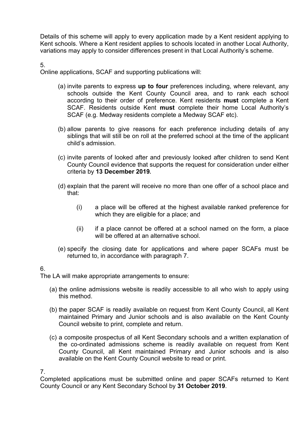Details of this scheme will apply to every application made by a Kent resident applying to Kent schools. Where a Kent resident applies to schools located in another Local Authority, variations may apply to consider differences present in that Local Authority's scheme.

5.

Online applications, SCAF and supporting publications will:

- (a) invite parents to express **up to four** preferences including, where relevant, any schools outside the Kent County Council area, and to rank each school according to their order of preference. Kent residents **must** complete a Kent SCAF. Residents outside Kent **must** complete their home Local Authority's SCAF (e.g. Medway residents complete a Medway SCAF etc).
- (b) allow parents to give reasons for each preference including details of any siblings that will still be on roll at the preferred school at the time of the applicant child's admission.
- (c) invite parents of looked after and previously looked after children to send Kent County Council evidence that supports the request for consideration under either criteria by **13 December 2019.**
- (d) explain that the parent will receive no more than one offer of a school place and that:
	- (i) a place will be offered at the highest available ranked preference for which they are eligible for a place; and
	- (ii) if a place cannot be offered at a school named on the form, a place will be offered at an alternative school.
- (e) specify the closing date for applications and where paper SCAFs must be returned to, in accordance with paragraph 7.

#### 6.

The LA will make appropriate arrangements to ensure:

- (a) the online admissions website is readily accessible to all who wish to apply using this method.
- (b) the paper SCAF is readily available on request from Kent County Council, all Kent maintained Primary and Junior schools and is also available on the Kent County Council website to print, complete and return.
- (c) a composite prospectus of all Kent Secondary schools and a written explanation of the co-ordinated admissions scheme is readily available on request from Kent County Council, all Kent maintained Primary and Junior schools and is also available on the Kent County Council website to read or print.

7.

Completed applications must be submitted online and paper SCAFs returned to Kent County Council or any Kent Secondary School by **31 October 2019**.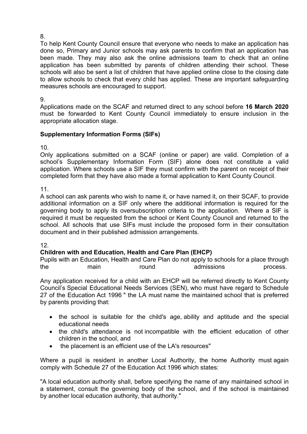To help Kent County Council ensure that everyone who needs to make an application has done so, Primary and Junior schools may ask parents to confirm that an application has been made. They may also ask the online admissions team to check that an online application has been submitted by parents of children attending their school. These schools will also be sent a list of children that have applied online close to the closing date to allow schools to check that every child has applied. These are important safeguarding measures schools are encouraged to support.

9.

Applications made on the SCAF and returned direct to any school before **16 March 2020** must be forwarded to Kent County Council immediately to ensure inclusion in the appropriate allocation stage.

# **Supplementary Information Forms (SIFs)**

10.

Only applications submitted on a SCAF (online or paper) are valid. Completion of a school's Supplementary Information Form (SIF) alone does not constitute a valid application. Where schools use a SIF they must confirm with the parent on receipt of their completed form that they have also made a formal application to Kent County Council.

11.

A school can ask parents who wish to name it, or have named it, on their SCAF, to provide additional information on a SIF only where the additional information is required for the governing body to apply its oversubscription criteria to the application. Where a SIF is required it must be requested from the school or Kent County Council and returned to the school. All schools that use SIFs must include the proposed form in their consultation document and in their published admission arrangements.

# 12.

# **Children with and Education, Health and Care Plan (EHCP)**

Pupils with an Education, Health and Care Plan do not apply to schools for a place through the main round admissions process.

Any application received for a child with an EHCP will be referred directly to Kent County Council's Special Educational Needs Services (SEN), who must have regard to Schedule 27 of the Education Act 1996 " the LA must name the maintained school that is preferred by parents providing that:

- the school is suitable for the child's age, ability and aptitude and the special educational needs
- the child's attendance is not incompatible with the efficient education of other children in the school, and
- the placement is an efficient use of the LA's resources"

Where a pupil is resident in another Local Authority, the home Authority must again comply with Schedule 27 of the Education Act 1996 which states:

"A local education authority shall, before specifying the name of any maintained school in a statement, consult the governing body of the school, and if the school is maintained by another local education authority, that authority."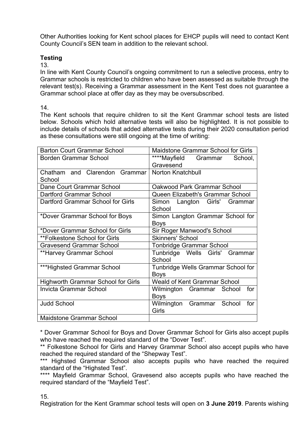Other Authorities looking for Kent school places for EHCP pupils will need to contact Kent County Council's SEN team in addition to the relevant school.

#### **Testing**

#### 13.

In line with Kent County Council's ongoing commitment to run a selective process, entry to Grammar schools is restricted to children who have been assessed as suitable through the relevant test(s). Receiving a Grammar assessment in the Kent Test does not guarantee a Grammar school place at offer day as they may be oversubscribed.

#### 14.

The Kent schools that require children to sit the Kent Grammar school tests are listed below. Schools which hold alternative tests will also be highlighted. It is not possible to include details of schools that added alternative tests during their 2020 consultation period as these consultations were still ongoing at the time of writing:

| <b>Barton Court Grammar School</b>                       | Maidstone Grammar School for Girls  |  |
|----------------------------------------------------------|-------------------------------------|--|
| <b>Borden Grammar School</b>                             | ****Mayfield<br>Grammar<br>School,  |  |
|                                                          | Gravesend                           |  |
| Chatham and Clarendon Grammar                            | <b>Norton Knatchbull</b>            |  |
| School                                                   |                                     |  |
| Dane Court Grammar School                                | Oakwood Park Grammar School         |  |
| Dartford Grammar School                                  | Queen Elizabeth's Grammar School    |  |
| Dartford Grammar School for Girls                        | Simon Langton Girls'<br>Grammar     |  |
|                                                          | School                              |  |
| *Dover Grammar School for Boys                           | Simon Langton Grammar School for    |  |
|                                                          | <b>Boys</b>                         |  |
| *Dover Grammar School for Girls                          | Sir Roger Manwood's School          |  |
| <b>Skinners' School</b><br>**Folkestone School for Girls |                                     |  |
| <b>Gravesend Grammar School</b>                          | <b>Tonbridge Grammar School</b>     |  |
| **Harvey Grammar School                                  | Tunbridge Wells Girls'<br>Grammar   |  |
|                                                          | School                              |  |
| ***Highsted Grammar School                               | Tunbridge Wells Grammar School for  |  |
|                                                          | <b>Boys</b>                         |  |
| <b>Highworth Grammar School for Girls</b>                | <b>Weald of Kent Grammar School</b> |  |
| <b>Invicta Grammar School</b>                            | Wilmington Grammar<br>School<br>for |  |
|                                                          | <b>Boys</b>                         |  |
| <b>Judd School</b>                                       | Wilmington Grammar<br>School<br>for |  |
|                                                          | <b>Girls</b>                        |  |
| <b>Maidstone Grammar School</b>                          |                                     |  |

<sup>\*</sup> Dover Grammar School for Boys and Dover Grammar School for Girls also accept pupils who have reached the required standard of the "Dover Test".

\*\*\*\* Mayfield Grammar School, Gravesend also accepts pupils who have reached the required standard of the "Mayfield Test".

#### 15.

Registration for the Kent Grammar school tests will open on **3 June 2019**. Parents wishing

<sup>\*\*</sup> Folkestone School for Girls and Harvey Grammar School also accept pupils who have reached the required standard of the "Shepway Test".

<sup>\*\*\*</sup> Highsted Grammar School also accepts pupils who have reached the required standard of the "Highsted Test".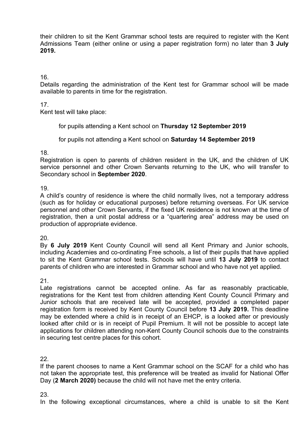their children to sit the Kent Grammar school tests are required to register with the Kent Admissions Team (either online or using a paper registration form) no later than **3 July 2019.**

#### 16.

Details regarding the administration of the Kent test for Grammar school will be made available to parents in time for the registration.

#### 17.

Kent test will take place:

for pupils attending a Kent school on **Thursday 12 September 2019**

for pupils not attending a Kent school on **Saturday 14 September 2019**

#### 18.

Registration is open to parents of children resident in the UK, and the children of UK service personnel and other Crown Servants returning to the UK, who will transfer to Secondary school in **September 2020**.

#### 19.

A child's country of residence is where the child normally lives, not a temporary address (such as for holiday or educational purposes) before returning overseas. For UK service personnel and other Crown Servants, if the fixed UK residence is not known at the time of registration, then a unit postal address or a "quartering area" address may be used on production of appropriate evidence.

#### 20.

By **6 July 2019** Kent County Council will send all Kent Primary and Junior schools, including Academies and co-ordinating Free schools, a list of their pupils that have applied to sit the Kent Grammar school tests. Schools will have until **13 July 2019** to contact parents of children who are interested in Grammar school and who have not yet applied.

#### 21.

Late registrations cannot be accepted online. As far as reasonably practicable, registrations for the Kent test from children attending Kent County Council Primary and Junior schools that are received late will be accepted, provided a completed paper registration form is received by Kent County Council before **13 July 2019.** This deadline may be extended where a child is in receipt of an EHCP, is a looked after or previously looked after child or is in receipt of Pupil Premium. It will not be possible to accept late applications for children attending non-Kent County Council schools due to the constraints in securing test centre places for this cohort.

22.

If the parent chooses to name a Kent Grammar school on the SCAF for a child who has not taken the appropriate test, this preference will be treated as invalid for National Offer Day (**2 March 2020)** because the child will not have met the entry criteria.

23.

In the following exceptional circumstances, where a child is unable to sit the Kent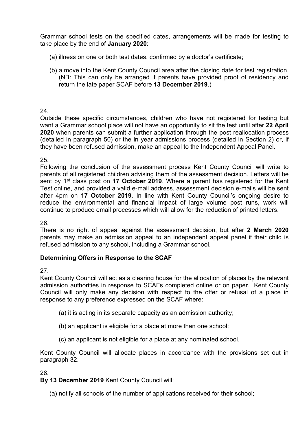Grammar school tests on the specified dates, arrangements will be made for testing to take place by the end of **January 2020**:

- (a) illness on one or both test dates, confirmed by a doctor's certificate;
- (b) a move into the Kent County Council area after the closing date for test registration. (NB: This can only be arranged if parents have provided proof of residency and return the late paper SCAF before **13 December 2019**.)

# 24.

Outside these specific circumstances, children who have not registered for testing but want a Grammar school place will not have an opportunity to sit the test until after **22 April 2020** when parents can submit a further application through the post reallocation process (detailed in paragraph 50) or the in year admissions process (detailed in Section 2) or, if they have been refused admission, make an appeal to the Independent Appeal Panel.

# 25.

Following the conclusion of the assessment process Kent County Council will write to parents of all registered children advising them of the assessment decision. Letters will be sent by 1<sup>st</sup> class post on 17 October 2019. Where a parent has registered for the Kent Test online, and provided a valid e-mail address, assessment decision e-mails will be sent after 4pm on **17 October 2019**. In line with Kent County Council's ongoing desire to reduce the environmental and financial impact of large volume post runs, work will continue to produce email processes which will allow for the reduction of printed letters.

#### 26.

There is no right of appeal against the assessment decision, but after **2 March 2020** parents may make an admission appeal to an independent appeal panel if their child is refused admission to any school, including a Grammar school.

# **Determining Offers in Response to the SCAF**

27.

Kent County Council will act as a clearing house for the allocation of places by the relevant admission authorities in response to SCAFs completed online or on paper. Kent County Council will only make any decision with respect to the offer or refusal of a place in response to any preference expressed on the SCAF where:

- (a) it is acting in its separate capacity as an admission authority;
- (b) an applicant is eligible for a place at more than one school;
- (c) an applicant is not eligible for a place at any nominated school.

Kent County Council will allocate places in accordance with the provisions set out in paragraph 32.

28.

**By 13 December 2019** Kent County Council will:

(a) notify all schools of the number of applications received for their school;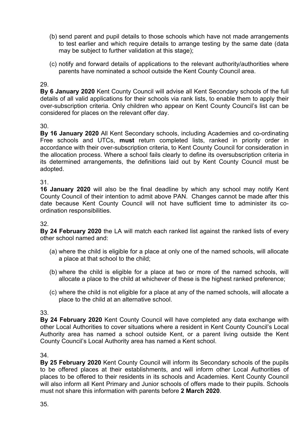- (b) send parent and pupil details to those schools which have not made arrangements to test earlier and which require details to arrange testing by the same date (data may be subject to further validation at this stage);
- (c) notify and forward details of applications to the relevant authority/authorities where parents have nominated a school outside the Kent County Council area.

**By 6 January 2020** Kent County Council will advise all Kent Secondary schools of the full details of all valid applications for their schools via rank lists, to enable them to apply their over-subscription criteria. Only children who appear on Kent County Council's list can be considered for places on the relevant offer day.

30.

**By 16 January 2020** All Kent Secondary schools, including Academies and co-ordinating Free schools and UTCs, **must** return completed lists, ranked in priority order in accordance with their over-subscription criteria, to Kent County Council for consideration in the allocation process. Where a school fails clearly to define its oversubscription criteria in its determined arrangements, the definitions laid out by Kent County Council must be adopted.

31.

**16 January 2020** will also be the final deadline by which any school may notify Kent County Council of their intention to admit above PAN. Changes cannot be made after this date because Kent County Council will not have sufficient time to administer its coordination responsibilities.

#### 32.

**By 24 February 2020** the LA will match each ranked list against the ranked lists of every other school named and:

- (a) where the child is eligible for a place at only one of the named schools, will allocate a place at that school to the child;
- (b) where the child is eligible for a place at two or more of the named schools, will allocate a place to the child at whichever of these is the highest ranked preference;
- (c) where the child is not eligible for a place at any of the named schools, will allocate a place to the child at an alternative school.

33.

**By 24 February 2020** Kent County Council will have completed any data exchange with other Local Authorities to cover situations where a resident in Kent County Council's Local Authority area has named a school outside Kent, or a parent living outside the Kent County Council's Local Authority area has named a Kent school.

34.

**By 25 February 2020** Kent County Council will inform its Secondary schools of the pupils to be offered places at their establishments, and will inform other Local Authorities of places to be offered to their residents in its schools and Academies. Kent County Council will also inform all Kent Primary and Junior schools of offers made to their pupils. Schools must not share this information with parents before **2 March 2020**.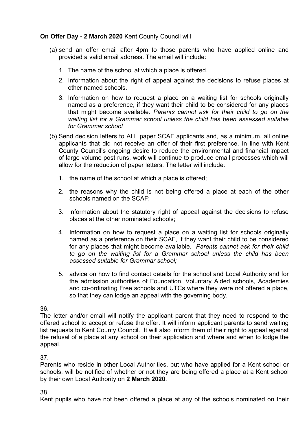# **On Offer Day - 2 March 2020** Kent County Council will

- (a) send an offer email after 4pm to those parents who have applied online and provided a valid email address. The email will include:
	- 1. The name of the school at which a place is offered.
	- 2. Information about the right of appeal against the decisions to refuse places at other named schools.
	- 3. Information on how to request a place on a waiting list for schools originally named as a preference, if they want their child to be considered for any places that might become available. *Parents cannot ask for their child to go on the waiting list for a Grammar school unless the child has been assessed suitable for Grammar school*
- (b) Send decision letters to ALL paper SCAF applicants and, as a minimum, all online applicants that did not receive an offer of their first preference. In line with Kent County Council's ongoing desire to reduce the environmental and financial impact of large volume post runs, work will continue to produce email processes which will allow for the reduction of paper letters. The letter will include:
	- 1. the name of the school at which a place is offered;
	- 2. the reasons why the child is not being offered a place at each of the other schools named on the SCAF;
	- 3. information about the statutory right of appeal against the decisions to refuse places at the other nominated schools;
	- 4. Information on how to request a place on a waiting list for schools originally named as a preference on their SCAF, if they want their child to be considered for any places that might become available. *Parents cannot ask for their child to go on the waiting list for a Grammar school unless the child has been assessed suitable for Grammar school;*
	- 5. advice on how to find contact details for the school and Local Authority and for the admission authorities of Foundation, Voluntary Aided schools, Academies and co-ordinating Free schools and UTCs where they were not offered a place, so that they can lodge an appeal with the governing body.

36.

The letter and/or email will notify the applicant parent that they need to respond to the offered school to accept or refuse the offer. It will inform applicant parents to send waiting list requests to Kent County Council. It will also inform them of their right to appeal against the refusal of a place at any school on their application and where and when to lodge the appeal.

37.

Parents who reside in other Local Authorities, but who have applied for a Kent school or schools, will be notified of whether or not they are being offered a place at a Kent school by their own Local Authority on **2 March 2020**.

38.

Kent pupils who have not been offered a place at any of the schools nominated on their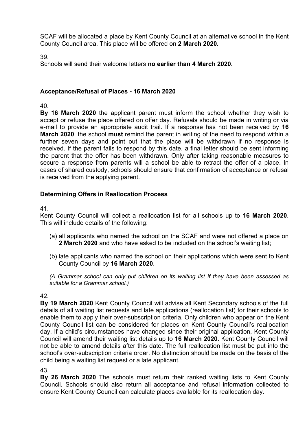SCAF will be allocated a place by Kent County Council at an alternative school in the Kent County Council area. This place will be offered on **2 March 2020.**

39.

Schools will send their welcome letters **no earlier than 4 March 2020.**

#### **Acceptance/Refusal of Places - 16 March 2020**

40.

**By 16 March 2020** the applicant parent must inform the school whether they wish to accept or refuse the place offered on offer day. Refusals should be made in writing or via e-mail to provide an appropriate audit trail. If a response has not been received by **16 March 2020**, the school **must** remind the parent in writing of the need to respond within a further seven days and point out that the place will be withdrawn if no response is received. If the parent fails to respond by this date, a final letter should be sent informing the parent that the offer has been withdrawn. Only after taking reasonable measures to secure a response from parents will a school be able to retract the offer of a place. In cases of shared custody, schools should ensure that confirmation of acceptance or refusal is received from the applying parent.

#### **Determining Offers in Reallocation Process**

#### 41.

Kent County Council will collect a reallocation list for all schools up to **16 March 2020**. This will include details of the following:

- (a) all applicants who named the school on the SCAF and were not offered a place on **2 March 2020** and who have asked to be included on the school's waiting list;
- (b) late applicants who named the school on their applications which were sent to Kent County Council by **16 March 2020**.

*(A Grammar school can only put children on its waiting list if they have been assessed as suitable for a Grammar school.)*

42.

**By 19 March 2020** Kent County Council will advise all Kent Secondary schools of the full details of all waiting list requests and late applications (reallocation list) for their schools to enable them to apply their over-subscription criteria. Only children who appear on the Kent County Council list can be considered for places on Kent County Council's reallocation day. If a child's circumstances have changed since their original application, Kent County Council will amend their waiting list details up to **16 March 2020**. Kent County Council will not be able to amend details after this date. The full reallocation list must be put into the school's over-subscription criteria order. No distinction should be made on the basis of the child being a waiting list request or a late applicant.

43.

**By 26 March 2020** The schools must return their ranked waiting lists to Kent County Council. Schools should also return all acceptance and refusal information collected to ensure Kent County Council can calculate places available for its reallocation day.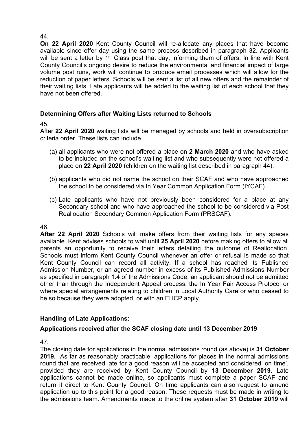**On 22 April 2020** Kent County Council will re-allocate any places that have become available since offer day using the same process described in paragraph 32. Applicants will be sent a letter by 1<sup>st</sup> Class post that day, informing them of offers. In line with Kent County Council's ongoing desire to reduce the environmental and financial impact of large volume post runs, work will continue to produce email processes which will allow for the reduction of paper letters. Schools will be sent a list of all new offers and the remainder of their waiting lists. Late applicants will be added to the waiting list of each school that they have not been offered.

# **Determining Offers after Waiting Lists returned to Schools**

#### 45.

After **22 April 2020** waiting lists will be managed by schools and held in oversubscription criteria order. These lists can include

- (a) all applicants who were not offered a place on **2 March 2020** and who have asked to be included on the school's waiting list and who subsequently were not offered a place on **22 April 2020** (children on the waiting list described in paragraph 44);
- (b) applicants who did not name the school on their SCAF and who have approached the school to be considered via In Year Common Application Form (IYCAF).
- (c) Late applicants who have not previously been considered for a place at any Secondary school and who have approached the school to be considered via Post Reallocation Secondary Common Application Form (PRSCAF).

# 46.

**After 22 April 2020** Schools will make offers from their waiting lists for any spaces available. Kent advises schools to wait until **25 April 2020** before making offers to allow all parents an opportunity to receive their letters detailing the outcome of Reallocation. Schools must inform Kent County Council whenever an offer or refusal is made so that Kent County Council can record all activity. If a school has reached its Published Admission Number, or an agreed number in excess of its Published Admissions Number as specified in paragraph 1.4 of the Admissions Code, an applicant should not be admitted other than through the Independent Appeal process, the In Year Fair Access Protocol or where special arrangements relating to children in Local Authority Care or who ceased to be so because they were adopted, or with an EHCP apply.

# **Handling of Late Applications:**

# **Applications received after the SCAF closing date until 13 December 2019**

47.

The closing date for applications in the normal admissions round (as above) is **31 October 2019.** As far as reasonably practicable, applications for places in the normal admissions round that are received late for a good reason will be accepted and considered 'on time', provided they are received by Kent County Council by **13 December 2019**. Late applications cannot be made online, so applicants must complete a paper SCAF and return it direct to Kent County Council. On time applicants can also request to amend application up to this point for a good reason. These requests must be made in writing to the admissions team. Amendments made to the online system after **31 October 2019** will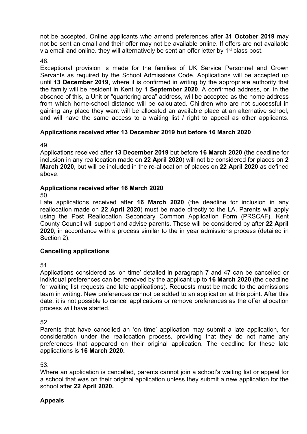not be accepted. Online applicants who amend preferences after **31 October 2019** may not be sent an email and their offer may not be available online. If offers are not available via email and online. they will alternatively be sent an offer letter by 1<sup>st</sup> class post.

48.

Exceptional provision is made for the families of UK Service Personnel and Crown Servants as required by the School Admissions Code. Applications will be accepted up until **13 December 2019**, where it is confirmed in writing by the appropriate authority that the family will be resident in Kent by **1 September 2020**. A confirmed address, or, in the absence of this, a Unit or "quartering area" address, will be accepted as the home address from which home-school distance will be calculated. Children who are not successful in gaining any place they want will be allocated an available place at an alternative school, and will have the same access to a waiting list / right to appeal as other applicants.

# **Applications received after 13 December 2019 but before 16 March 2020**

49.

Applications received after **13 December 2019** but before **16 March 2020** (the deadline for inclusion in any reallocation made on **22 April 2020**) will not be considered for places on **2 March 2020**, but will be included in the re-allocation of places on **22 April 2020** as defined above.

#### **Applications received after 16 March 2020**

50.

Late applications received after **16 March 2020** (the deadline for inclusion in any reallocation made on **22 April 2020**) must be made directly to the LA. Parents will apply using the Post Reallocation Secondary Common Application Form (PRSCAF). Kent County Council will support and advise parents. These will be considered by after **22 April 2020**, in accordance with a process similar to the in year admissions process (detailed in Section 2).

# **Cancelling applications**

51.

Applications considered as 'on time' detailed in paragraph 7 and 47 can be cancelled or individual preferences can be removed by the applicant up to **16 March 2020** (the deadline for waiting list requests and late applications). Requests must be made to the admissions team in writing. New preferences cannot be added to an application at this point. After this date, it is not possible to cancel applications or remove preferences as the offer allocation process will have started.

52.

Parents that have cancelled an 'on time' application may submit a late application, for consideration under the reallocation process, providing that they do not name any preferences that appeared on their original application. The deadline for these late applications is **16 March 2020.**

53.

Where an application is cancelled, parents cannot join a school's waiting list or appeal for a school that was on their original application unless they submit a new application for the school after **22 April 2020.**

#### **Appeals**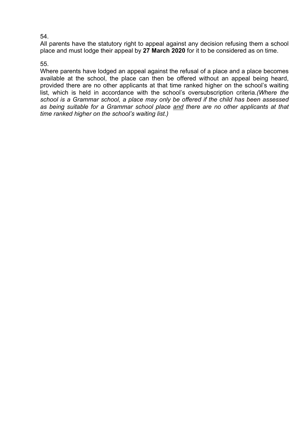All parents have the statutory right to appeal against any decision refusing them a school place and must lodge their appeal by **27 March 2020** for it to be considered as on time.

#### 55.

Where parents have lodged an appeal against the refusal of a place and a place becomes available at the school, the place can then be offered without an appeal being heard, provided there are no other applicants at that time ranked higher on the school's waiting list, which is held in accordance with the school's oversubscription criteria.*(Where the school is a Grammar school, a place may only be offered if the child has been assessed as being suitable for a Grammar school place and there are no other applicants at that time ranked higher on the school's waiting list.)*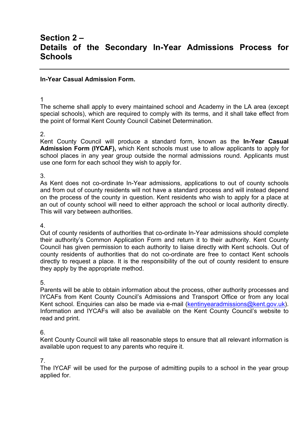# **Section 2 – Details of the Secondary In-Year Admissions Process for Schools**

#### **In-Year Casual Admission Form.**

1

The scheme shall apply to every maintained school and Academy in the LA area (except special schools), which are required to comply with its terms, and it shall take effect from the point of formal Kent County Council Cabinet Determination.

#### 2.

Kent County Council will produce a standard form, known as the **In-Year Casual Admission Form (IYCAF),** which Kent schools must use to allow applicants to apply for school places in any year group outside the normal admissions round. Applicants must use one form for each school they wish to apply for.

3.

As Kent does not co-ordinate In-Year admissions, applications to out of county schools and from out of county residents will not have a standard process and will instead depend on the process of the county in question. Kent residents who wish to apply for a place at an out of county school will need to either approach the school or local authority directly. This will vary between authorities.

4.

Out of county residents of authorities that co-ordinate In-Year admissions should complete their authority's Common Application Form and return it to their authority. Kent County Council has given permission to each authority to liaise directly with Kent schools. Out of county residents of authorities that do not co-ordinate are free to contact Kent schools directly to request a place. It is the responsibility of the out of county resident to ensure they apply by the appropriate method.

5.

Parents will be able to obtain information about the process, other authority processes and IYCAFs from Kent County Council's Admissions and Transport Office or from any local Kent school. Enquiries can also be made via e-mail ([kentinyearadmissions@kent.gov.uk\)](mailto:kentinyear.admissions@kent.gov.uk). Information and IYCAFs will also be available on the Kent County Council's website to read and print.

6.

Kent County Council will take all reasonable steps to ensure that all relevant information is available upon request to any parents who require it.

7.

The IYCAF will be used for the purpose of admitting pupils to a school in the year group applied for.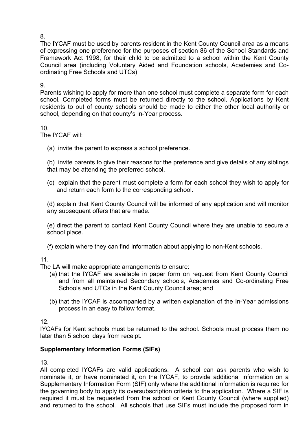The IYCAF must be used by parents resident in the Kent County Council area as a means of expressing one preference for the purposes of section 86 of the School Standards and Framework Act 1998, for their child to be admitted to a school within the Kent County Council area (including Voluntary Aided and Foundation schools, Academies and Coordinating Free Schools and UTCs)

9.

Parents wishing to apply for more than one school must complete a separate form for each school. Completed forms must be returned directly to the school. Applications by Kent residents to out of county schools should be made to either the other local authority or school, depending on that county's In-Year process.

10.

The IYCAF will:

(a) invite the parent to express a school preference.

(b) invite parents to give their reasons for the preference and give details of any siblings that may be attending the preferred school.

(c) explain that the parent must complete a form for each school they wish to apply for and return each form to the corresponding school.

(d) explain that Kent County Council will be informed of any application and will monitor any subsequent offers that are made.

(e) direct the parent to contact Kent County Council where they are unable to secure a school place.

(f) explain where they can find information about applying to non-Kent schools.

# 11.

The LA will make appropriate arrangements to ensure:

- (a) that the IYCAF are available in paper form on request from Kent County Council and from all maintained Secondary schools, Academies and Co-ordinating Free Schools and UTCs in the Kent County Council area; and
- (b) that the IYCAF is accompanied by a written explanation of the In-Year admissions process in an easy to follow format.

#### 12.

IYCAFs for Kent schools must be returned to the school. Schools must process them no later than 5 school days from receipt.

# **Supplementary Information Forms (SIFs)**

13.

All completed IYCAFs are valid applications. A school can ask parents who wish to nominate it, or have nominated it, on the IYCAF, to provide additional information on a Supplementary Information Form (SIF) only where the additional information is required for the governing body to apply its oversubscription criteria to the application. Where a SIF is required it must be requested from the school or Kent County Council (where supplied) and returned to the school. All schools that use SIFs must include the proposed form in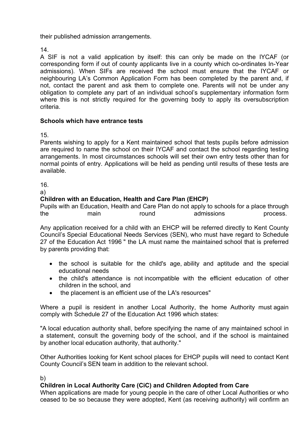their published admission arrangements.

14.

A SIF is not a valid application by itself: this can only be made on the IYCAF (or corresponding form if out of county applicants live in a county which co-ordinates In-Year admissions). When SIFs are received the school must ensure that the IYCAF or neighbouring LA's Common Application Form has been completed by the parent and, if not, contact the parent and ask them to complete one. Parents will not be under any obligation to complete any part of an individual school's supplementary information form where this is not strictly required for the governing body to apply its oversubscription criteria.

#### **Schools which have entrance tests**

15.

Parents wishing to apply for a Kent maintained school that tests pupils before admission are required to name the school on their IYCAF and contact the school regarding testing arrangements. In most circumstances schools will set their own entry tests other than for normal points of entry. Applications will be held as pending until results of these tests are available.

16.

a)

#### **Children with an Education, Health and Care Plan (EHCP)**

Pupils with an Education, Health and Care Plan do not apply to schools for a place through the main round admissions process.

Any application received for a child with an EHCP will be referred directly to Kent County Council's Special Educational Needs Services (SEN), who must have regard to Schedule 27 of the Education Act 1996 " the LA must name the maintained school that is preferred by parents providing that:

- the school is suitable for the child's age, ability and aptitude and the special educational needs
- the child's attendance is not incompatible with the efficient education of other children in the school, and
- the placement is an efficient use of the LA's resources"

Where a pupil is resident in another Local Authority, the home Authority must again comply with Schedule 27 of the Education Act 1996 which states:

"A local education authority shall, before specifying the name of any maintained school in a statement, consult the governing body of the school, and if the school is maintained by another local education authority, that authority."

Other Authorities looking for Kent school places for EHCP pupils will need to contact Kent County Council's SEN team in addition to the relevant school.

#### b)

# **Children in Local Authority Care (CiC) and Children Adopted from Care**

When applications are made for young people in the care of other Local Authorities or who ceased to be so because they were adopted, Kent (as receiving authority) will confirm an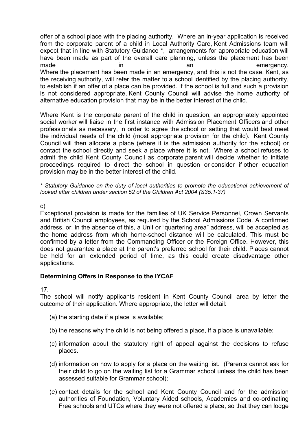offer of a school place with the placing authority. Where an in-year application is received from the corporate parent of a child in Local Authority Care, Kent Admissions team will expect that in line with Statutory Guidance \*, arrangements for appropriate education will have been made as part of the overall care planning, unless the placement has been made in in an an emergency. Where the placement has been made in an emergency, and this is not the case, Kent, as the receiving authority, will refer the matter to a school identified by the placing authority, to establish if an offer of a place can be provided. If the school is full and such a provision is not considered appropriate, Kent County Council will advise the home authority of alternative education provision that may be in the better interest of the child.

Where Kent is the corporate parent of the child in question, an appropriately appointed social worker will liaise in the first instance with Admission Placement Officers and other professionals as necessary, in order to agree the school or setting that would best meet the individual needs of the child (most appropriate provision for the child). Kent County Council will then allocate a place (where it is the admission authority for the school) or contact the school directly and seek a place where it is not. Where a school refuses to admit the child Kent County Council as corporate parent will decide whether to initiate proceedings required to direct the school in question or consider if other education provision may be in the better interest of the child.

*\* Statutory Guidance on the duty of local authorities to promote the educational achievement of looked after children under section 52 of the Children Act 2004 (S35.1-37)*

c)

Exceptional provision is made for the families of UK Service Personnel, Crown Servants and British Council employees, as required by the School Admissions Code. A confirmed address, or, in the absence of this, a Unit or "quartering area" address, will be accepted as the home address from which home-school distance will be calculated. This must be confirmed by a letter from the Commanding Officer or the Foreign Office. However, this does not guarantee a place at the parent's preferred school for their child. Places cannot be held for an extended period of time, as this could create disadvantage other applications.

#### **Determining Offers in Response to the IYCAF**

17.

The school will notify applicants resident in Kent County Council area by letter the outcome of their application. Where appropriate, the letter will detail:

- (a) the starting date if a place is available;
- (b) the reasons why the child is not being offered a place, if a place is unavailable;
- (c) information about the statutory right of appeal against the decisions to refuse places.
- (d) information on how to apply for a place on the waiting list. (Parents cannot ask for their child to go on the waiting list for a Grammar school unless the child has been assessed suitable for Grammar school);
- (e) contact details for the school and Kent County Council and for the admission authorities of Foundation, Voluntary Aided schools, Academies and co-ordinating Free schools and UTCs where they were not offered a place, so that they can lodge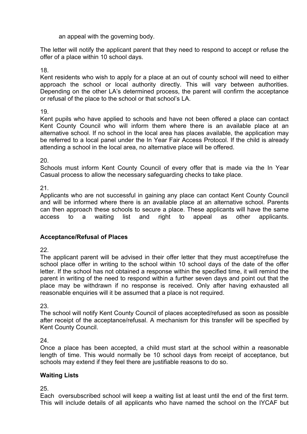an appeal with the governing body.

The letter will notify the applicant parent that they need to respond to accept or refuse the offer of a place within 10 school days.

18.

Kent residents who wish to apply for a place at an out of county school will need to either approach the school or local authority directly. This will vary between authorities. Depending on the other LA's determined process, the parent will confirm the acceptance or refusal of the place to the school or that school's LA.

19.

Kent pupils who have applied to schools and have not been offered a place can contact Kent County Council who will inform them where there is an available place at an alternative school. If no school in the local area has places available, the application may be referred to a local panel under the In Year Fair Access Protocol. If the child is already attending a school in the local area, no alternative place will be offered.

20.

Schools must inform Kent County Council of every offer that is made via the In Year Casual process to allow the necessary safeguarding checks to take place.

21.

Applicants who are not successful in gaining any place can contact Kent County Council and will be informed where there is an available place at an alternative school. Parents can then approach these schools to secure a place. These applicants will have the same access to a waiting list and right to appeal as other applicants.

# **Acceptance/Refusal of Places**

22.

The applicant parent will be advised in their offer letter that they must accept/refuse the school place offer in writing to the school within 10 school days of the date of the offer letter. If the school has not obtained a response within the specified time, it will remind the parent in writing of the need to respond within a further seven days and point out that the place may be withdrawn if no response is received. Only after having exhausted all reasonable enquiries will it be assumed that a place is not required.

23.

The school will notify Kent County Council of places accepted/refused as soon as possible after receipt of the acceptance/refusal. A mechanism for this transfer will be specified by Kent County Council.

24.

Once a place has been accepted, a child must start at the school within a reasonable length of time. This would normally be 10 school days from receipt of acceptance, but schools may extend if they feel there are justifiable reasons to do so.

# **Waiting Lists**

25.

Each oversubscribed school will keep a waiting list at least until the end of the first term. This will include details of all applicants who have named the school on the IYCAF but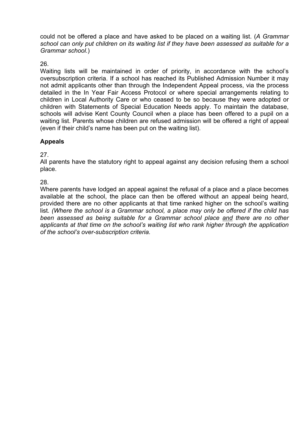could not be offered a place and have asked to be placed on a waiting list. (*A Grammar school can only put children on its waiting list if they have been assessed as suitable for a Grammar school.*)

26.

Waiting lists will be maintained in order of priority, in accordance with the school's oversubscription criteria. If a school has reached its Published Admission Number it may not admit applicants other than through the Independent Appeal process, via the process detailed in the In Year Fair Access Protocol or where special arrangements relating to children in Local Authority Care or who ceased to be so because they were adopted or children with Statements of Special Education Needs apply. To maintain the database, schools will advise Kent County Council when a place has been offered to a pupil on a waiting list. Parents whose children are refused admission will be offered a right of appeal (even if their child's name has been put on the waiting list).

# **Appeals**

27.

All parents have the statutory right to appeal against any decision refusing them a school place.

28.

Where parents have lodged an appeal against the refusal of a place and a place becomes available at the school, the place can then be offered without an appeal being heard, provided there are no other applicants at that time ranked higher on the school's waiting list. *(Where the school is a Grammar school, a place may only be offered if the child has been assessed as being suitable for a Grammar school place and there are no other applicants at that time on the school's waiting list who rank higher through the application of the school's over-subscription criteria.*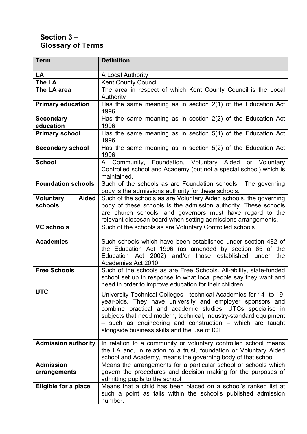# **Section 3 – Glossary of Terms**

| <b>Term</b>                      | <b>Definition</b>                                                                                                                                                                                                                                                                                                                                                                |
|----------------------------------|----------------------------------------------------------------------------------------------------------------------------------------------------------------------------------------------------------------------------------------------------------------------------------------------------------------------------------------------------------------------------------|
| LA                               | A Local Authority                                                                                                                                                                                                                                                                                                                                                                |
| The LA                           | <b>Kent County Council</b>                                                                                                                                                                                                                                                                                                                                                       |
| The LA area                      | The area in respect of which Kent County Council is the Local                                                                                                                                                                                                                                                                                                                    |
| <b>Primary education</b>         | Authority<br>Has the same meaning as in section $2(1)$ of the Education Act<br>1996                                                                                                                                                                                                                                                                                              |
| <b>Secondary</b><br>education    | Has the same meaning as in section 2(2) of the Education Act<br>1996                                                                                                                                                                                                                                                                                                             |
| <b>Primary school</b>            | Has the same meaning as in section 5(1) of the Education Act<br>1996                                                                                                                                                                                                                                                                                                             |
| <b>Secondary school</b>          | Has the same meaning as in section 5(2) of the Education Act<br>1996                                                                                                                                                                                                                                                                                                             |
| <b>School</b>                    | A Community, Foundation, Voluntary Aided or Voluntary<br>Controlled school and Academy (but not a special school) which is<br>maintained.                                                                                                                                                                                                                                        |
| <b>Foundation schools</b>        | Such of the schools as are Foundation schools. The governing<br>body is the admissions authority for these schools.                                                                                                                                                                                                                                                              |
| <b>Voluntary</b><br><b>Aided</b> | Such of the schools as are Voluntary Aided schools, the governing                                                                                                                                                                                                                                                                                                                |
| schools                          | body of these schools is the admission authority. These schools                                                                                                                                                                                                                                                                                                                  |
|                                  | are church schools, and governors must have regard to the                                                                                                                                                                                                                                                                                                                        |
|                                  | relevant diocesan board when setting admissions arrangements.                                                                                                                                                                                                                                                                                                                    |
| <b>VC schools</b>                | Such of the schools as are Voluntary Controlled schools                                                                                                                                                                                                                                                                                                                          |
| <b>Academies</b>                 | Such schools which have been established under section 482 of<br>the Education Act 1996 (as amended by section 65 of the<br>Education Act 2002) and/or those established<br>under<br>the<br>Academies Act 2010.                                                                                                                                                                  |
| <b>Free Schools</b>              | Such of the schools as are Free Schools. All-ability, state-funded<br>school set up in response to what local people say they want and<br>need in order to improve education for their children.                                                                                                                                                                                 |
| <b>UTC</b>                       | University Technical Colleges - technical Academies for 14- to 19-<br>year-olds. They have university and employer sponsors and<br>combine practical and academic studies. UTCs specialise in<br>subjects that need modern, technical, industry-standard equipment<br>- such as engineering and construction - which are taught<br>alongside business skills and the use of ICT. |
| <b>Admission authority</b>       | In relation to a community or voluntary controlled school means<br>the LA and, in relation to a trust, foundation or Voluntary Aided<br>school and Academy, means the governing body of that school                                                                                                                                                                              |
| <b>Admission</b><br>arrangements | Means the arrangements for a particular school or schools which<br>govern the procedures and decision making for the purposes of<br>admitting pupils to the school                                                                                                                                                                                                               |
| Eligible for a place             | Means that a child has been placed on a school's ranked list at<br>such a point as falls within the school's published admission<br>number.                                                                                                                                                                                                                                      |